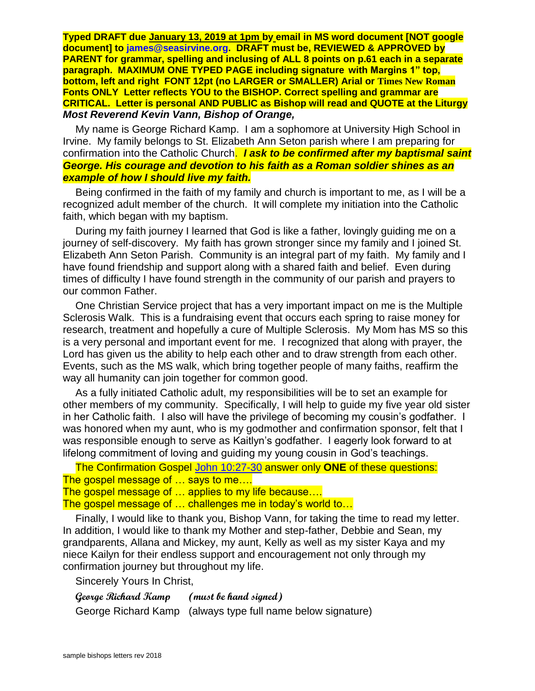**Typed DRAFT due January 13, 2019 at 1pm by email in MS word document [NOT google document] to [james@seasirvine.org.](mailto:james@seasirvine.org) DRAFT must be, REVIEWED & APPROVED by PARENT for grammar, spelling and inclusing of ALL 8 points on p.61 each in a separate paragraph. MAXIMUM ONE TYPED PAGE including signature with Margins 1" top, bottom, left and right FONT 12pt (no LARGER or SMALLER) Arial or Times New Roman Fonts ONLY Letter reflects YOU to the BISHOP. Correct spelling and grammar are CRITICAL. Letter is personal AND PUBLIC as Bishop will read and QUOTE at the Liturgy** *Most Reverend Kevin Vann, Bishop of Orange,*

My name is George Richard Kamp. I am a sophomore at University High School in Irvine. My family belongs to St. Elizabeth Ann Seton parish where I am preparing for confirmation into the Catholic Church. *I ask to be confirmed after my baptismal saint George. His courage and devotion to his faith as a Roman soldier shines as an example of how I should live my faith.*

Being confirmed in the faith of my family and church is important to me, as I will be a recognized adult member of the church. It will complete my initiation into the Catholic faith, which began with my baptism.

During my faith journey I learned that God is like a father, lovingly guiding me on a journey of self-discovery. My faith has grown stronger since my family and I joined St. Elizabeth Ann Seton Parish. Community is an integral part of my faith. My family and I have found friendship and support along with a shared faith and belief. Even during times of difficulty I have found strength in the community of our parish and prayers to our common Father.

One Christian Service project that has a very important impact on me is the Multiple Sclerosis Walk. This is a fundraising event that occurs each spring to raise money for research, treatment and hopefully a cure of Multiple Sclerosis. My Mom has MS so this is a very personal and important event for me. I recognized that along with prayer, the Lord has given us the ability to help each other and to draw strength from each other. Events, such as the MS walk, which bring together people of many faiths, reaffirm the way all humanity can join together for common good.

As a fully initiated Catholic adult, my responsibilities will be to set an example for other members of my community. Specifically, I will help to guide my five year old sister in her Catholic faith. I also will have the privilege of becoming my cousin's godfather. I was honored when my aunt, who is my godmother and confirmation sponsor, felt that I was responsible enough to serve as Kaitlyn's godfather. I eagerly look forward to at lifelong commitment of loving and guiding my young cousin in God's teachings.

```
The Confirmation Gospel John 10:27-30 answer only ONE of these questions: 
The gospel message of … says to me…. 
The gospel message of … applies to my life because…. 
The gospel message of … challenges me in today's world to…
```
Finally, I would like to thank you, Bishop Vann, for taking the time to read my letter. In addition, I would like to thank my Mother and step-father, Debbie and Sean, my grandparents, Allana and Mickey, my aunt, Kelly as well as my sister Kaya and my niece Kailyn for their endless support and encouragement not only through my confirmation journey but throughout my life.

Sincerely Yours In Christ,

**George Richard Kamp (must be hand signed)** George Richard Kamp (always type full name below signature)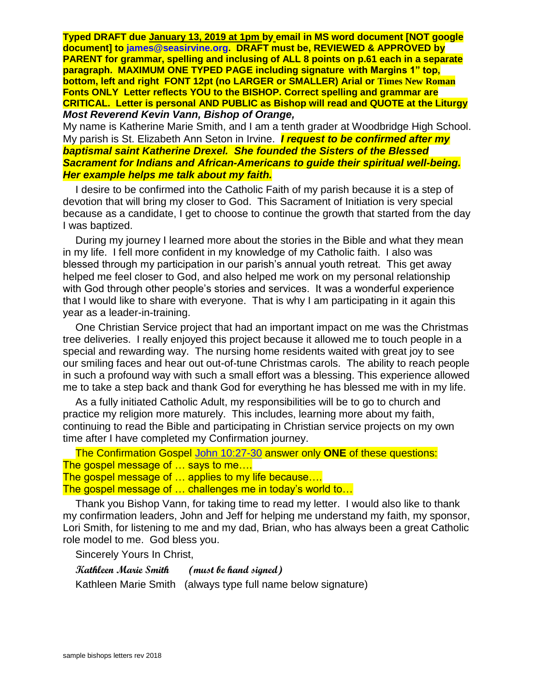**Typed DRAFT due January 13, 2019 at 1pm by email in MS word document [NOT google document] to [james@seasirvine.org.](mailto:james@seasirvine.org) DRAFT must be, REVIEWED & APPROVED by PARENT for grammar, spelling and inclusing of ALL 8 points on p.61 each in a separate paragraph. MAXIMUM ONE TYPED PAGE including signature with Margins 1" top, bottom, left and right FONT 12pt (no LARGER or SMALLER) Arial or Times New Roman Fonts ONLY Letter reflects YOU to the BISHOP. Correct spelling and grammar are CRITICAL. Letter is personal AND PUBLIC as Bishop will read and QUOTE at the Liturgy** *Most Reverend Kevin Vann, Bishop of Orange,*

My name is Katherine Marie Smith, and I am a tenth grader at Woodbridge High School. My parish is St. Elizabeth Ann Seton in Irvine. *I request to be confirmed after my baptismal saint Katherine Drexel. She founded the Sisters of the Blessed Sacrament for Indians and African-Americans to guide their spiritual well-being. Her example helps me talk about my faith.*

I desire to be confirmed into the Catholic Faith of my parish because it is a step of devotion that will bring my closer to God. This Sacrament of Initiation is very special because as a candidate, I get to choose to continue the growth that started from the day I was baptized.

During my journey I learned more about the stories in the Bible and what they mean in my life. I fell more confident in my knowledge of my Catholic faith. I also was blessed through my participation in our parish's annual youth retreat. This get away helped me feel closer to God, and also helped me work on my personal relationship with God through other people's stories and services. It was a wonderful experience that I would like to share with everyone. That is why I am participating in it again this year as a leader-in-training.

One Christian Service project that had an important impact on me was the Christmas tree deliveries. I really enjoyed this project because it allowed me to touch people in a special and rewarding way. The nursing home residents waited with great joy to see our smiling faces and hear out out-of-tune Christmas carols. The ability to reach people in such a profound way with such a small effort was a blessing. This experience allowed me to take a step back and thank God for everything he has blessed me with in my life.

As a fully initiated Catholic Adult, my responsibilities will be to go to church and practice my religion more maturely. This includes, learning more about my faith, continuing to read the Bible and participating in Christian service projects on my own time after I have completed my Confirmation journey.

```
The Confirmation Gospel John 10:27-30 answer only ONE of these questions: 
The gospel message of … says to me…. 
The gospel message of … applies to my life because…. 
The gospel message of … challenges me in today's world to…
```
Thank you Bishop Vann, for taking time to read my letter. I would also like to thank my confirmation leaders, John and Jeff for helping me understand my faith, my sponsor, Lori Smith, for listening to me and my dad, Brian, who has always been a great Catholic role model to me. God bless you.

Sincerely Yours In Christ,

**Kathleen Marie Smith (must be hand signed)**

Kathleen Marie Smith (always type full name below signature)